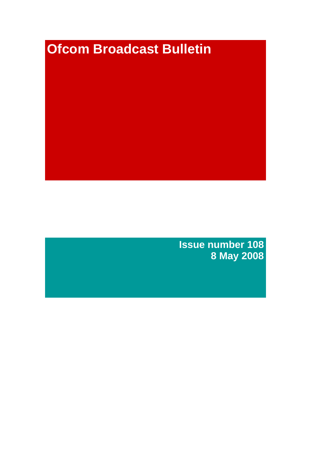# **Ofcom Broadcast Bulletin**

**Issue number 108 8 May 2008**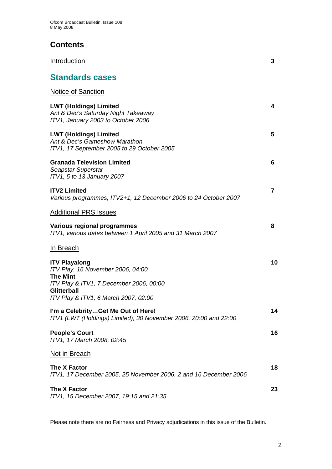# **Contents**

| Introduction                                                                                                                           | 3  |
|----------------------------------------------------------------------------------------------------------------------------------------|----|
| <b>Standards cases</b>                                                                                                                 |    |
| <b>Notice of Sanction</b>                                                                                                              |    |
| <b>LWT (Holdings) Limited</b><br>Ant & Dec's Saturday Night Takeaway<br>ITV1, January 2003 to October 2006                             | 4  |
| <b>LWT (Holdings) Limited</b><br>Ant & Dec's Gameshow Marathon<br>ITV1, 17 September 2005 to 29 October 2005                           | 5  |
| <b>Granada Television Limited</b><br>Soapstar Superstar<br>ITV1, 5 to 13 January 2007                                                  | 6  |
| <b>ITV2 Limited</b><br>Various programmes, ITV2+1, 12 December 2006 to 24 October 2007                                                 | 7  |
| <u> Additional PRS Issues</u>                                                                                                          |    |
| Various regional programmes<br>ITV1, various dates between 1 April 2005 and 31 March 2007                                              | 8  |
| <u>In Breach</u>                                                                                                                       |    |
| <b>ITV Playalong</b><br>ITV Play, 16 November 2006, 04:00<br><b>The Mint</b><br>ITV Play & ITV1, 7 December 2006, 00:00<br>Glitterball | 10 |
| ITV Play & ITV1, 6 March 2007, 02:00                                                                                                   |    |
| I'm a CelebrityGet Me Out of Here!<br>ITV1 (LWT (Holdings) Limited), 30 November 2006, 20:00 and 22:00                                 | 14 |
| <b>People's Court</b><br>ITV1, 17 March 2008, 02:45                                                                                    | 16 |
| <u>Not in Breach</u>                                                                                                                   |    |
| The X Factor<br>ITV1, 17 December 2005, 25 November 2006, 2 and 16 December 2006                                                       | 18 |
| The X Factor<br>ITV1, 15 December 2007, 19:15 and 21:35                                                                                | 23 |

Please note there are no Fairness and Privacy adjudications in this issue of the Bulletin.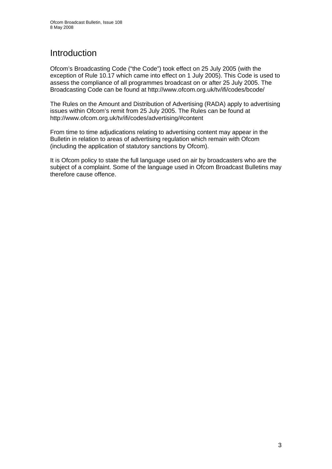# Introduction

Ofcom's Broadcasting Code ("the Code") took effect on 25 July 2005 (with the exception of Rule 10.17 which came into effect on 1 July 2005). This Code is used to assess the compliance of all programmes broadcast on or after 25 July 2005. The Broadcasting Code can be found at http://www.ofcom.org.uk/tv/ifi/codes/bcode/

The Rules on the Amount and Distribution of Advertising (RADA) apply to advertising issues within Ofcom's remit from 25 July 2005. The Rules can be found at http://www.ofcom.org.uk/tv/ifi/codes/advertising/#content

From time to time adjudications relating to advertising content may appear in the Bulletin in relation to areas of advertising regulation which remain with Ofcom (including the application of statutory sanctions by Ofcom).

It is Ofcom policy to state the full language used on air by broadcasters who are the subject of a complaint. Some of the language used in Ofcom Broadcast Bulletins may therefore cause offence.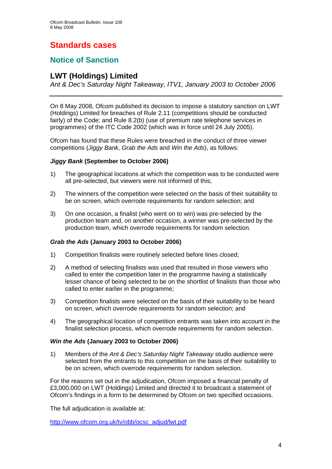# **Standards cases**

# **Notice of Sanction**

# **LWT (Holdings) Limited**

*Ant & Dec's Saturday Night Takeaway, ITV1, January 2003 to October 2006* 

On 8 May 2008, Ofcom published its decision to impose a statutory sanction on LWT (Holdings) Limited for breaches of Rule 2.11 (competitions should be conducted fairly) of the Code; and Rule 8.2(b) (use of premium rate telephone services in programmes) of the ITC Code 2002 (which was in force until 24 July 2005).

Ofcom has found that these Rules were breached in the conduct of three viewer competitions (*Jiggy Bank*, *Grab the Ads* and *Win the Ads*), as follows:

# *Jiggy Bank* **(September to October 2006)**

- 1) The geographical locations at which the competition was to be conducted were all pre-selected, but viewers were not informed of this;
- 2) The winners of the competition were selected on the basis of their suitability to be on screen, which overrode requirements for random selection; and
- 3) On one occasion, a finalist (who went on to win) was pre-selected by the production team and, on another occasion, a winner was pre-selected by the production team, which overrode requirements for random selection.

# *Grab the Ads* **(January 2003 to October 2006)**

- 1) Competition finalists were routinely selected before lines closed;
- 2) A method of selecting finalists was used that resulted in those viewers who called to enter the competition later in the programme having a statistically lesser chance of being selected to be on the shortlist of finalists than those who called to enter earlier in the programme;
- 3) Competition finalists were selected on the basis of their suitability to be heard on screen, which overrode requirements for random selection; and
- 4) The geographical location of competition entrants was taken into account in the finalist selection process, which overrode requirements for random selection.

# *Win the Ads* **(January 2003 to October 2006)**

1) Members of the *Ant & Dec's Saturday Night Takeaway* studio audience were selected from the entrants to this competition on the basis of their suitability to be on screen, which overrode requirements for random selection.

For the reasons set out in the adjudication, Ofcom imposed a financial penalty of £3,000,000 on LWT (Holdings) Limited and directed it to broadcast a statement of Ofcom's findings in a form to be determined by Ofcom on two specified occasions.

The full adjudication is available at:

[http://www.ofcom.org.uk/tv/obb/ocsc\\_adjud/lwt.pdf](http://www.ofcom.org.uk/tv/obb/ocsc_adjud/lwt.pdf)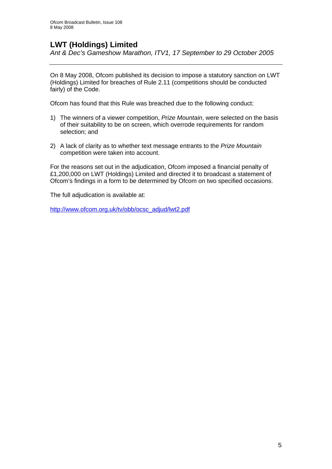# **LWT (Holdings) Limited**

*Ant & Dec's Gameshow Marathon, ITV1, 17 September to 29 October 2005* 

On 8 May 2008, Ofcom published its decision to impose a statutory sanction on LWT (Holdings) Limited for breaches of Rule 2.11 (competitions should be conducted fairly) of the Code.

Ofcom has found that this Rule was breached due to the following conduct:

- 1) The winners of a viewer competition, *Prize Mountain*, were selected on the basis of their suitability to be on screen, which overrode requirements for random selection; and
- 2) A lack of clarity as to whether text message entrants to the *Prize Mountain*  competition were taken into account.

For the reasons set out in the adjudication, Ofcom imposed a financial penalty of £1,200,000 on LWT (Holdings) Limited and directed it to broadcast a statement of Ofcom's findings in a form to be determined by Ofcom on two specified occasions.

The full adjudication is available at:

[http://www.ofcom.org.uk/tv/obb/ocsc\\_adjud/lwt2.pdf](http://www.ofcom.org.uk/tv/obb/ocsc_adjud/lwt2.pdf)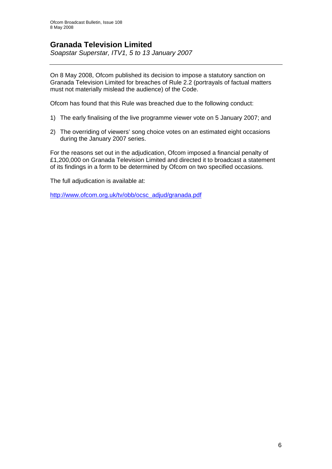# **Granada Television Limited**

*Soapstar Superstar, ITV1, 5 to 13 January 2007* 

On 8 May 2008, Ofcom published its decision to impose a statutory sanction on Granada Television Limited for breaches of Rule 2.2 (portrayals of factual matters must not materially mislead the audience) of the Code.

Ofcom has found that this Rule was breached due to the following conduct:

- 1) The early finalising of the live programme viewer vote on 5 January 2007; and
- 2) The overriding of viewers' song choice votes on an estimated eight occasions during the January 2007 series.

For the reasons set out in the adjudication, Ofcom imposed a financial penalty of £1,200,000 on Granada Television Limited and directed it to broadcast a statement of its findings in a form to be determined by Ofcom on two specified occasions.

The full adjudication is available at:

[http://www.ofcom.org.uk/tv/obb/ocsc\\_adjud/granada.pdf](http://www.ofcom.org.uk/tv/obb/ocsc_adjud/granada.pdf)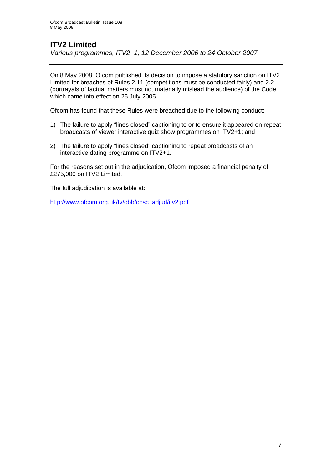# **ITV2 Limited**

*Various programmes, ITV2+1, 12 December 2006 to 24 October 2007* 

On 8 May 2008, Ofcom published its decision to impose a statutory sanction on ITV2 Limited for breaches of Rules 2.11 (competitions must be conducted fairly) and 2.2 (portrayals of factual matters must not materially mislead the audience) of the Code, which came into effect on 25 July 2005.

Ofcom has found that these Rules were breached due to the following conduct:

- 1) The failure to apply "lines closed" captioning to or to ensure it appeared on repeat broadcasts of viewer interactive quiz show programmes on ITV2+1; and
- 2) The failure to apply "lines closed" captioning to repeat broadcasts of an interactive dating programme on ITV2+1.

For the reasons set out in the adjudication, Ofcom imposed a financial penalty of £275,000 on ITV2 Limited.

The full adjudication is available at:

[http://www.ofcom.org.uk/tv/obb/ocsc\\_adjud/itv2.pdf](http://www.ofcom.org.uk/tv/obb/ocsc_adjud/itv2.pdf)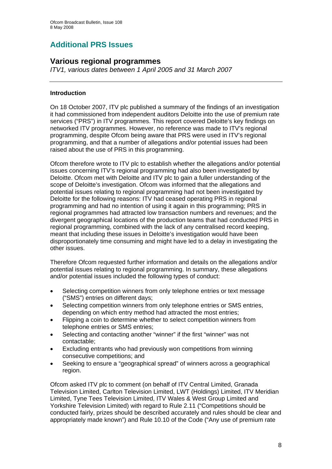# **Additional PRS Issues**

# **Various regional programmes**

*ITV1, various dates between 1 April 2005 and 31 March 2007* 

# **Introduction**

On 18 October 2007, ITV plc published a summary of the findings of an investigation it had commissioned from independent auditors Deloitte into the use of premium rate services ("PRS") in ITV programmes. This report covered Deloitte's key findings on networked ITV programmes. However, no reference was made to ITV's regional programming, despite Ofcom being aware that PRS were used in ITV's regional programming, and that a number of allegations and/or potential issues had been raised about the use of PRS in this programming.

Ofcom therefore wrote to ITV plc to establish whether the allegations and/or potential issues concerning ITV's regional programming had also been investigated by Deloitte. Ofcom met with Deloitte and ITV plc to gain a fuller understanding of the scope of Deloitte's investigation. Ofcom was informed that the allegations and potential issues relating to regional programming had not been investigated by Deloitte for the following reasons: ITV had ceased operating PRS in regional programming and had no intention of using it again in this programming; PRS in regional programmes had attracted low transaction numbers and revenues; and the divergent geographical locations of the production teams that had conducted PRS in regional programming, combined with the lack of any centralised record keeping, meant that including these issues in Deloitte's investigation would have been disproportionately time consuming and might have led to a delay in investigating the other issues.

Therefore Ofcom requested further information and details on the allegations and/or potential issues relating to regional programming. In summary, these allegations and/or potential issues included the following types of conduct:

- Selecting competition winners from only telephone entries or text message ("SMS") entries on different days;
- Selecting competition winners from only telephone entries or SMS entries, depending on which entry method had attracted the most entries;
- Flipping a coin to determine whether to select competition winners from telephone entries or SMS entries;
- Selecting and contacting another "winner" if the first "winner" was not contactable;
- Excluding entrants who had previously won competitions from winning consecutive competitions; and
- Seeking to ensure a "geographical spread" of winners across a geographical region.

Ofcom asked ITV plc to comment (on behalf of ITV Central Limited, Granada Television Limited, Carlton Television Limited, LWT (Holdings) Limited, ITV Meridian Limited, Tyne Tees Television Limited, ITV Wales & West Group Limited and Yorkshire Television Limited) with regard to Rule 2.11 ("Competitions should be conducted fairly, prizes should be described accurately and rules should be clear and appropriately made known") and Rule 10.10 of the Code ("Any use of premium rate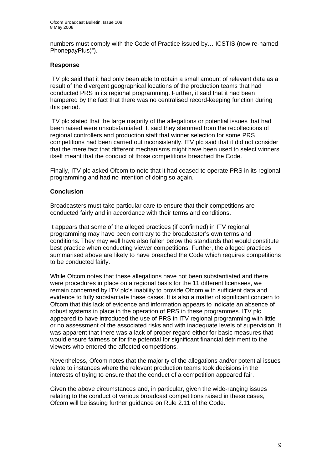numbers must comply with the Code of Practice issued by… ICSTIS (now re-named PhonepayPlus)").

## **Response**

ITV plc said that it had only been able to obtain a small amount of relevant data as a result of the divergent geographical locations of the production teams that had conducted PRS in its regional programming. Further, it said that it had been hampered by the fact that there was no centralised record-keeping function during this period.

ITV plc stated that the large majority of the allegations or potential issues that had been raised were unsubstantiated. It said they stemmed from the recollections of regional controllers and production staff that winner selection for some PRS competitions had been carried out inconsistently. ITV plc said that it did not consider that the mere fact that different mechanisms might have been used to select winners itself meant that the conduct of those competitions breached the Code.

Finally, ITV plc asked Ofcom to note that it had ceased to operate PRS in its regional programming and had no intention of doing so again.

# **Conclusion**

Broadcasters must take particular care to ensure that their competitions are conducted fairly and in accordance with their terms and conditions.

It appears that some of the alleged practices (if confirmed) in ITV regional programming may have been contrary to the broadcaster's own terms and conditions. They may well have also fallen below the standards that would constitute best practice when conducting viewer competitions. Further, the alleged practices summarised above are likely to have breached the Code which requires competitions to be conducted fairly.

While Ofcom notes that these allegations have not been substantiated and there were procedures in place on a regional basis for the 11 different licensees, we remain concerned by ITV plc's inability to provide Ofcom with sufficient data and evidence to fully substantiate these cases. It is also a matter of significant concern to Ofcom that this lack of evidence and information appears to indicate an absence of robust systems in place in the operation of PRS in these programmes. ITV plc appeared to have introduced the use of PRS in ITV regional programming with little or no assessment of the associated risks and with inadequate levels of supervision. It was apparent that there was a lack of proper regard either for basic measures that would ensure fairness or for the potential for significant financial detriment to the viewers who entered the affected competitions.

Nevertheless, Ofcom notes that the majority of the allegations and/or potential issues relate to instances where the relevant production teams took decisions in the interests of trying to ensure that the conduct of a competition appeared fair.

Given the above circumstances and, in particular, given the wide-ranging issues relating to the conduct of various broadcast competitions raised in these cases, Ofcom will be issuing further guidance on Rule 2.11 of the Code.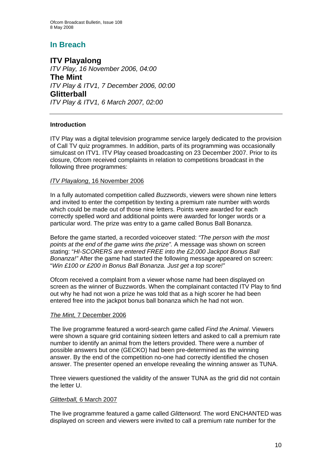# **In Breach**

**ITV Playalong** *ITV Play, 16 November 2006, 04:00*  **The Mint** *ITV Play & ITV1, 7 December 2006, 00:00*  **Glitterball** *ITV Play & ITV1, 6 March 2007, 02:00* 

# **Introduction**

ITV Play was a digital television programme service largely dedicated to the provision of Call TV quiz programmes. In addition, parts of its programming was occasionally simulcast on ITV1. ITV Play ceased broadcasting on 23 December 2007. Prior to its closure, Ofcom received complaints in relation to competitions broadcast in the following three programmes:

# *ITV Playalong*, 16 November 2006

In a fully automated competition called *Buzzwords*, viewers were shown nine letters and invited to enter the competition by texting a premium rate number with words which could be made out of those nine letters. Points were awarded for each correctly spelled word and additional points were awarded for longer words or a particular word. The prize was entry to a game called Bonus Ball Bonanza.

Before the game started, a recorded voiceover stated: *"The person with the most points at the end of the game wins the prize".* A message was shown on screen stating: "*HI-SCORERS are entered FREE into the £2,000 Jackpot Bonus Ball Bonanza!"* After the game had started the following message appeared on screen: "*Win £100 or £200 in Bonus Ball Bonanza. Just get a top score!"* 

Ofcom received a complaint from a viewer whose name had been displayed on screen as the winner of Buzzwords. When the complainant contacted ITV Play to find out why he had not won a prize he was told that as a high scorer he had been entered free into the jackpot bonus ball bonanza which he had not won.

# *The Mint,* 7 December 2006

The live programme featured a word-search game called *Find the Animal*. Viewers were shown a square grid containing sixteen letters and asked to call a premium rate number to identify an animal from the letters provided. There were a number of possible answers but one (GECKO) had been pre-determined as the winning answer. By the end of the competition no-one had correctly identified the chosen answer. The presenter opened an envelope revealing the winning answer as TUNA.

Three viewers questioned the validity of the answer TUNA as the grid did not contain the letter U.

# *Glitterball,* 6 March 2007

The live programme featured a game called *Glitterword.* The word ENCHANTED was displayed on screen and viewers were invited to call a premium rate number for the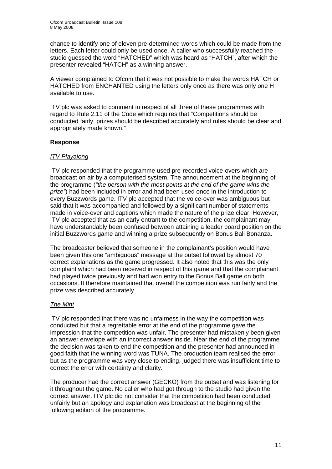chance to identify one of eleven pre-determined words which could be made from the letters. Each letter could only be used once. A caller who successfully reached the studio guessed the word "HATCHED" which was heard as "HATCH", after which the presenter revealed "HATCH" as a winning answer.

A viewer complained to Ofcom that it was not possible to make the words HATCH or HATCHED from ENCHANTED using the letters only once as there was only one H available to use.

ITV plc was asked to comment in respect of all three of these programmes with regard to Rule 2.11 of the Code which requires that "Competitions should be conducted fairly, prizes should be described accurately and rules should be clear and appropriately made known."

# **Response**

# *ITV Playalong*

ITV plc responded that the programme used pre-recorded voice-overs which are broadcast on air by a computerised system. The announcement at the beginning of the programme (*"the person with the most points at the end of the game wins the prize"*) had been included in error and had been used once in the introduction to every Buzzwords game. ITV plc accepted that the voice-over was ambiguous but said that it was accompanied and followed by a significant number of statements made in voice-over and captions which made the nature of the prize clear. However, ITV plc accepted that as an early entrant to the competition, the complainant may have understandably been confused between attaining a leader board position on the initial Buzzwords game and winning a prize subsequently on Bonus Ball Bonanza.

The broadcaster believed that someone in the complainant's position would have been given this one "ambiguous" message at the outset followed by almost 70 correct explanations as the game progressed. It also noted that this was the only complaint which had been received in respect of this game and that the complainant had played twice previously and had won entry to the Bonus Ball game on both occasions. It therefore maintained that overall the competition was run fairly and the prize was described accurately.

# *The Mint*

ITV plc responded that there was no unfairness in the way the competition was conducted but that a regrettable error at the end of the programme gave the impression that the competition was unfair. The presenter had mistakenly been given an answer envelope with an incorrect answer inside. Near the end of the programme the decision was taken to end the competition and the presenter had announced in good faith that the winning word was TUNA. The production team realised the error but as the programme was very close to ending, judged there was insufficient time to correct the error with certainty and clarity.

The producer had the correct answer (GECKO) from the outset and was listening for it throughout the game. No caller who had got through to the studio had given the correct answer. ITV plc did not consider that the competition had been conducted unfairly but an apology and explanation was broadcast at the beginning of the following edition of the programme.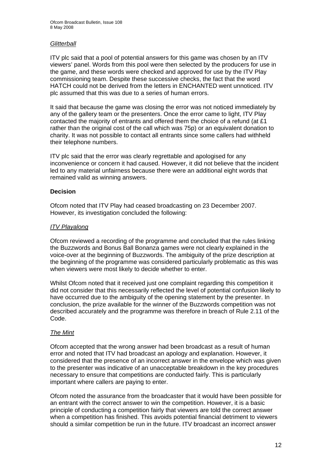# *Glitterball*

ITV plc said that a pool of potential answers for this game was chosen by an ITV viewers' panel. Words from this pool were then selected by the producers for use in the game, and these words were checked and approved for use by the ITV Play commissioning team. Despite these successive checks, the fact that the word HATCH could not be derived from the letters in ENCHANTED went unnoticed. ITV plc assumed that this was due to a series of human errors.

It said that because the game was closing the error was not noticed immediately by any of the gallery team or the presenters. Once the error came to light, ITV Play contacted the majority of entrants and offered them the choice of a refund (at £1 rather than the original cost of the call which was 75p) or an equivalent donation to charity. It was not possible to contact all entrants since some callers had withheld their telephone numbers.

ITV plc said that the error was clearly regrettable and apologised for any inconvenience or concern it had caused. However, it did not believe that the incident led to any material unfairness because there were an additional eight words that remained valid as winning answers.

# **Decision**

Ofcom noted that ITV Play had ceased broadcasting on 23 December 2007. However, its investigation concluded the following:

# *ITV Playalong*

Ofcom reviewed a recording of the programme and concluded that the rules linking the Buzzwords and Bonus Ball Bonanza games were not clearly explained in the voice-over at the beginning of Buzzwords. The ambiguity of the prize description at the beginning of the programme was considered particularly problematic as this was when viewers were most likely to decide whether to enter.

Whilst Ofcom noted that it received just one complaint regarding this competition it did not consider that this necessarily reflected the level of potential confusion likely to have occurred due to the ambiguity of the opening statement by the presenter. In conclusion, the prize available for the winner of the Buzzwords competition was not described accurately and the programme was therefore in breach of Rule 2.11 of the Code.

# *The Mint*

Ofcom accepted that the wrong answer had been broadcast as a result of human error and noted that ITV had broadcast an apology and explanation. However, it considered that the presence of an incorrect answer in the envelope which was given to the presenter was indicative of an unacceptable breakdown in the key procedures necessary to ensure that competitions are conducted fairly. This is particularly important where callers are paying to enter.

Ofcom noted the assurance from the broadcaster that it would have been possible for an entrant with the correct answer to win the competition. However, it is a basic principle of conducting a competition fairly that viewers are told the correct answer when a competition has finished. This avoids potential financial detriment to viewers should a similar competition be run in the future. ITV broadcast an incorrect answer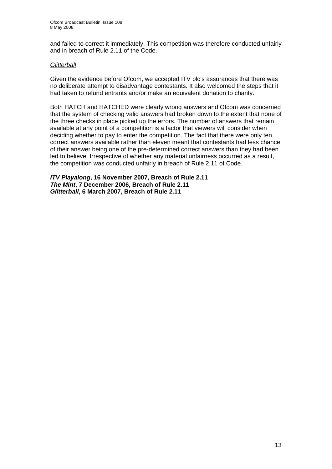and failed to correct it immediately. This competition was therefore conducted unfairly and in breach of Rule 2.11 of the Code.

### *Glitterball*

Given the evidence before Ofcom, we accepted ITV plc's assurances that there was no deliberate attempt to disadvantage contestants. It also welcomed the steps that it had taken to refund entrants and/or make an equivalent donation to charity.

Both HATCH and HATCHED were clearly wrong answers and Ofcom was concerned that the system of checking valid answers had broken down to the extent that none of the three checks in place picked up the errors. The number of answers that remain available at any point of a competition is a factor that viewers will consider when deciding whether to pay to enter the competition. The fact that there were only ten correct answers available rather than eleven meant that contestants had less chance of their answer being one of the pre-determined correct answers than they had been led to believe. Irrespective of whether any material unfairness occurred as a result, the competition was conducted unfairly in breach of Rule 2.11 of Code.

*ITV Playalong***, 16 November 2007, Breach of Rule 2.11**  *The Mint***, 7 December 2006, Breach of Rule 2.11**  *Glitterball***, 6 March 2007, Breach of Rule 2.11**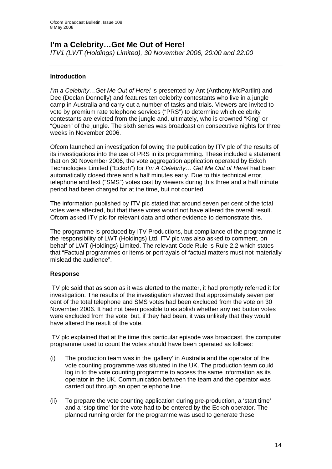# **I'm a Celebrity…Get Me Out of Here!**

*ITV1 (LWT (Holdings) Limited), 30 November 2006, 20:00 and 22:00* 

# **Introduction**

*I'm a Celebrity…Get Me Out of Here!* is presented by Ant (Anthony McPartlin) and Dec (Declan Donnelly) and features ten celebrity contestants who live in a jungle camp in Australia and carry out a number of tasks and trials. Viewers are invited to vote by premium rate telephone services ("PRS") to determine which celebrity contestants are evicted from the jungle and, ultimately, who is crowned "King" or "Queen" of the jungle. The sixth series was broadcast on consecutive nights for three weeks in November 2006.

Ofcom launched an investigation following the publication by ITV plc of the results of its investigations into the use of PRS in its programming. These included a statement that on 30 November 2006, the vote aggregation application operated by Eckoh Technologies Limited ("Eckoh") for *I'm A Celebrity… Get Me Out of Here!* had been automatically closed three and a half minutes early. Due to this technical error, telephone and text ("SMS") votes cast by viewers during this three and a half minute period had been charged for at the time, but not counted.

The information published by ITV plc stated that around seven per cent of the total votes were affected, but that these votes would not have altered the overall result. Ofcom asked ITV plc for relevant data and other evidence to demonstrate this.

The programme is produced by ITV Productions, but compliance of the programme is the responsibility of LWT (Holdings) Ltd. ITV plc was also asked to comment, on behalf of LWT (Holdings) Limited. The relevant Code Rule is Rule 2.2 which states that "Factual programmes or items or portrayals of factual matters must not materially mislead the audience".

# **Response**

ITV plc said that as soon as it was alerted to the matter, it had promptly referred it for investigation. The results of the investigation showed that approximately seven per cent of the total telephone and SMS votes had been excluded from the vote on 30 November 2006. It had not been possible to establish whether any red button votes were excluded from the vote, but, if they had been, it was unlikely that they would have altered the result of the vote.

ITV plc explained that at the time this particular episode was broadcast, the computer programme used to count the votes should have been operated as follows:

- (i) The production team was in the 'gallery' in Australia and the operator of the vote counting programme was situated in the UK. The production team could log in to the vote counting programme to access the same information as its operator in the UK. Communication between the team and the operator was carried out through an open telephone line.
- (ii) To prepare the vote counting application during pre-production, a 'start time' and a 'stop time' for the vote had to be entered by the Eckoh operator. The planned running order for the programme was used to generate these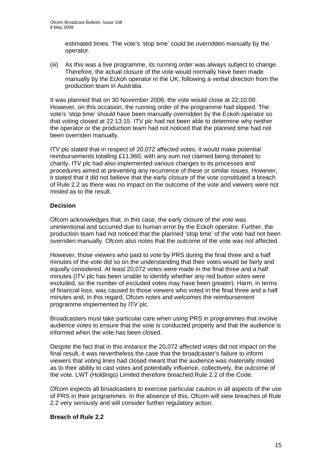estimated times. The vote's 'stop time' could be overridden manually by the operator.

(iii) As this was a live programme, its running order was always subject to change. Therefore, the actual closure of the vote would normally have been made manually by the Eckoh operator in the UK, following a verbal direction from the production team in Australia.

It was planned that on 30 November 2006, the vote would close at 22:10:00. However, on this occasion, the running order of the programme had slipped. The vote's 'stop time' should have been manually overridden by the Eckoh operator so that voting closed at 22:13:15. ITV plc had not been able to determine why neither the operator or the production team had not noticed that the planned time had not been overriden manually.

ITV plc stated that in respect of 20,072 affected votes, it would make potential reimbursements totalling £11,960, with any sum not claimed being donated to charity. ITV plc had also implemented various changes to its processes and procedures aimed at preventing any recurrence of these or similar issues. However, it stated that it did not believe that the early closure of the vote constituted a breach of Rule 2.2 as there was no impact on the outcome of the vote and viewers were not misled as to the result.

# **Decision**

Ofcom acknowledges that, in this case, the early closure of the vote was unintentional and occurred due to human error by the Eckoh operator. Further, the production team had not noticed that the planned 'stop time' of the vote had not been overriden manually. Ofcom also notes that the outcome of the vote was not affected.

However, those viewers who paid to vote by PRS during the final three and a half minutes of the vote did so on the understanding that their votes would be fairly and equally considered. At least 20,072 votes were made in the final three and a half minutes (ITV plc has been unable to identify whether any red button votes were excluded, so the number of excluded votes may have been greater). Harm, in terms of financial loss, was caused to those viewers who voted in the final three and a half minutes and, in this regard, Ofcom notes and welcomes the reimbursement programme implemented by ITV plc.

Broadcasters must take particular care when using PRS in programmes that involve audience votes to ensure that the vote is conducted properly and that the audience is informed when the vote has been closed.

Despite the fact that in this instance the 20,072 affected votes did not impact on the final result, it was nevertheless the case that the broadcaster's failure to inform viewers that voting lines had closed meant that the audience was materially misled as to their ability to cast votes and potentially influence, collectively, the outcome of the vote. LWT (Holdings) Limited therefore breached Rule 2.2 of the Code.

Ofcom expects all broadcasters to exercise particular caution in all aspects of the use of PRS in their programmes. In the absence of this, Ofcom will view breaches of Rule 2.2 very seriously and will consider further regulatory action.

# **Breach of Rule 2.2**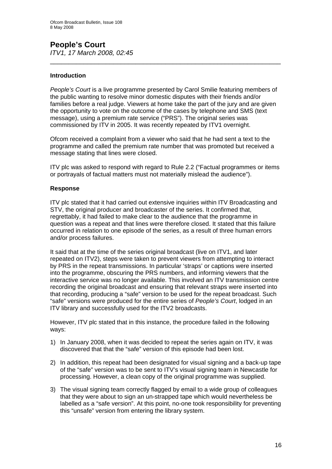# **People's Court**  *ITV1, 17 March 2008, 02:45*

## **Introduction**

*People's Court* is a live programme presented by Carol Smilie featuring members of the public wanting to resolve minor domestic disputes with their friends and/or families before a real judge. Viewers at home take the part of the jury and are given the opportunity to vote on the outcome of the cases by telephone and SMS (text message), using a premium rate service ("PRS"). The original series was commissioned by ITV in 2005. It was recently repeated by ITV1 overnight.

\_\_\_\_\_\_\_\_\_\_\_\_\_\_\_\_\_\_\_\_\_\_\_\_\_\_\_\_\_\_\_\_\_\_\_\_\_\_\_\_\_\_\_\_\_\_\_\_\_\_\_\_\_\_\_\_\_\_\_\_\_\_

Ofcom received a complaint from a viewer who said that he had sent a text to the programme and called the premium rate number that was promoted but received a message stating that lines were closed.

ITV plc was asked to respond with regard to Rule 2.2 ("Factual programmes or items or portrayals of factual matters must not materially mislead the audience").

#### **Response**

ITV plc stated that it had carried out extensive inquiries within ITV Broadcasting and STV, the original producer and broadcaster of the series. It confirmed that, regrettably, it had failed to make clear to the audience that the programme in question was a repeat and that lines were therefore closed. It stated that this failure occurred in relation to one episode of the series, as a result of three human errors and/or process failures.

It said that at the time of the series original broadcast (live on ITV1, and later repeated on ITV2), steps were taken to prevent viewers from attempting to interact by PRS in the repeat transmissions. In particular 'straps' or captions were inserted into the programme, obscuring the PRS numbers, and informing viewers that the interactive service was no longer available. This involved an ITV transmission centre recording the original broadcast and ensuring that relevant straps were inserted into that recording, producing a "safe" version to be used for the repeat broadcast. Such "safe" versions were produced for the entire series of *People's Court*, lodged in an ITV library and successfully used for the ITV2 broadcasts.

However, ITV plc stated that in this instance, the procedure failed in the following ways:

- 1) In January 2008, when it was decided to repeat the series again on ITV, it was discovered that that the "safe" version of this episode had been lost.
- 2) In addition, this repeat had been designated for visual signing and a back-up tape of the "safe" version was to be sent to ITV's visual signing team in Newcastle for processing. However, a clean copy of the original programme was supplied.
- 3) The visual signing team correctly flagged by email to a wide group of colleagues that they were about to sign an un-strapped tape which would nevertheless be labelled as a "safe version". At this point, no-one took responsibility for preventing this "unsafe" version from entering the library system.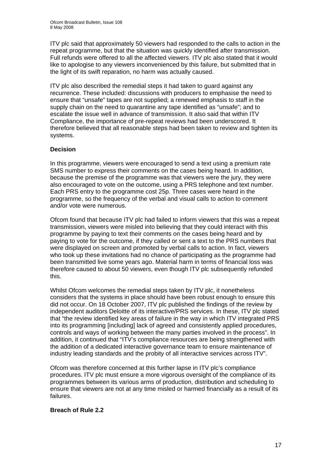ITV plc said that approximately 50 viewers had responded to the calls to action in the repeat programme, but that the situation was quickly identified after transmission. Full refunds were offered to all the affected viewers. ITV plc also stated that it would like to apologise to any viewers inconvenienced by this failure, but submitted that in the light of its swift reparation, no harm was actually caused.

ITV plc also described the remedial steps it had taken to guard against any recurrence. These included: discussions with producers to emphasise the need to ensure that "unsafe" tapes are not supplied; a renewed emphasis to staff in the supply chain on the need to quarantine any tape identified as "unsafe"; and to escalate the issue well in advance of transmission. It also said that within ITV Compliance, the importance of pre-repeat reviews had been underscored. It therefore believed that all reasonable steps had been taken to review and tighten its systems.

# **Decision**

In this programme, viewers were encouraged to send a text using a premium rate SMS number to express their comments on the cases being heard. In addition, because the premise of the programme was that viewers were the jury, they were also encouraged to vote on the outcome, using a PRS telephone and text number. Each PRS entry to the programme cost 25p. Three cases were heard in the programme, so the frequency of the verbal and visual calls to action to comment and/or vote were numerous.

Ofcom found that because ITV plc had failed to inform viewers that this was a repeat transmission, viewers were misled into believing that they could interact with this programme by paying to text their comments on the cases being heard and by paying to vote for the outcome, if they called or sent a text to the PRS numbers that were displayed on screen and promoted by verbal calls to action. In fact, viewers who took up these invitations had no chance of participating as the programme had been transmitted live some years ago. Material harm in terms of financial loss was therefore caused to about 50 viewers, even though ITV plc subsequently refunded this.

Whilst Ofcom welcomes the remedial steps taken by ITV plc, it nonetheless considers that the systems in place should have been robust enough to ensure this did not occur. On 18 October 2007, ITV plc published the findings of the review by independent auditors Deloitte of its interactive/PRS services. In these, ITV plc stated that "the review identified key areas of failure in the way in which ITV integrated PRS into its programming [including] lack of agreed and consistently applied procedures, controls and ways of working between the many parties involved in the process". In addition, it continued that "ITV's compliance resources are being strengthened with the addition of a dedicated interactive governance team to ensure maintenance of industry leading standards and the probity of all interactive services across ITV".

Ofcom was therefore concerned at this further lapse in ITV plc's compliance procedures. ITV plc must ensure a more vigorous oversight of the compliance of its programmes between its various arms of production, distribution and scheduling to ensure that viewers are not at any time misled or harmed financially as a result of its failures.

#### **Breach of Rule 2.2**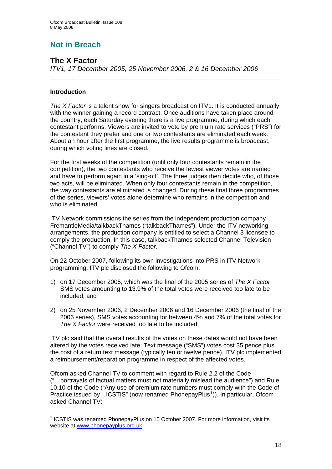# **Not in Breach**

# **The X Factor**

*ITV1, 17 December 2005, 25 November 2006, 2 & 16 December 2006* 

# **Introduction**

*The X Factor* is a talent show for singers broadcast on ITV1. It is conducted annually with the winner gaining a record contract. Once auditions have taken place around the country, each Saturday evening there is a live programme, during which each contestant performs. Viewers are invited to vote by premium rate services ("PRS") for the contestant they prefer and one or two contestants are eliminated each week. About an hour after the first programme, the live results programme is broadcast, during which voting lines are closed.

\_\_\_\_\_\_\_\_\_\_\_\_\_\_\_\_\_\_\_\_\_\_\_\_\_\_\_\_\_\_\_\_\_\_\_\_\_\_\_\_\_\_\_\_\_\_\_\_\_\_\_\_\_\_\_\_\_\_\_\_\_\_

For the first weeks of the competition (until only four contestants remain in the competition), the two contestants who receive the fewest viewer votes are named and have to perform again in a 'sing-off'. The three judges then decide who, of those two acts, will be eliminated. When only four contestants remain in the competition, the way contestants are eliminated is changed. During these final three programmes of the series, viewers' votes alone determine who remains in the competition and who is eliminated.

ITV Network commissions the series from the independent production company FremantleMedia/talkbackThames ("talkbackThames"). Under the ITV networking arrangements, the production company is entitled to select a Channel 3 licensee to comply the production. In this case, talkbackThames selected Channel Television ("Channel TV") to comply *The X Factor*.

On 22 October 2007, following its own investigations into PRS in ITV Network programming, ITV plc disclosed the following to Ofcom:

- 1) on 17 December 2005, which was the final of the 2005 series of *The X Factor*, SMS votes amounting to 13.9% of the total votes were received too late to be included; and
- 2) on 25 November 2006, 2 December 2006 and 16 December 2006 (the final of the 2006 series), SMS votes accounting for between 4% and 7% of the total votes for *The X Factor* were received too late to be included.

ITV plc said that the overall results of the votes on these dates would not have been altered by the votes received late. Text message ("SMS") votes cost 35 pence plus the cost of a return text message (typically ten or twelve pence). ITV plc implemented a reimbursement/reparation programme in respect of the affected votes.

Ofcom asked Channel TV to comment with regard to Rule 2.2 of the Code ("…portrayals of factual matters must not materially mislead the audience") and Rule 10.10 of the Code ("Any use of premium rate numbers must comply with the Code of Practice issued by...ICSTIS" (now renamed PhonepayPlus<sup>[1](#page-17-0)</sup>)). In particular, Ofcom asked Channel TV:

<span id="page-17-0"></span><sup>1</sup> <sup>1</sup> ICSTIS was renamed PhonepayPlus on 15 October 2007. For more information, visit its website at [www.phonepayplus.org.uk](http://www.phonepayplus.org.uk/)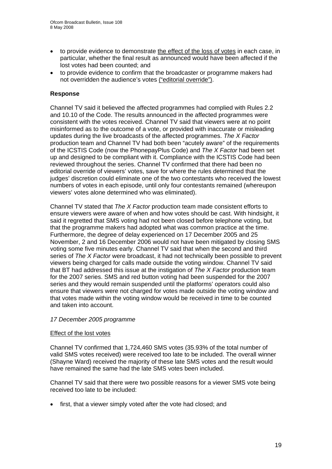- to provide evidence to demonstrate the effect of the loss of votes in each case, in particular, whether the final result as announced would have been affected if the lost votes had been counted; and
- to provide evidence to confirm that the broadcaster or programme makers had not overridden the audience's votes ("editorial override").

# **Response**

Channel TV said it believed the affected programmes had complied with Rules 2.2 and 10.10 of the Code. The results announced in the affected programmes were consistent with the votes received. Channel TV said that viewers were at no point misinformed as to the outcome of a vote, or provided with inaccurate or misleading updates during the live broadcasts of the affected programmes. *The X Factor*  production team and Channel TV had both been "acutely aware" of the requirements of the ICSTIS Code (now the PhonepayPlus Code) and *The X Factor* had been set up and designed to be compliant with it. Compliance with the ICSTIS Code had been reviewed throughout the series. Channel TV confirmed that there had been no editorial override of viewers' votes, save for where the rules determined that the judges' discretion could eliminate one of the two contestants who received the lowest numbers of votes in each episode, until only four contestants remained (whereupon viewers' votes alone determined who was eliminated).

Channel TV stated that *The X Factor* production team made consistent efforts to ensure viewers were aware of when and how votes should be cast. With hindsight, it said it regretted that SMS voting had not been closed before telephone voting, but that the programme makers had adopted what was common practice at the time. Furthermore, the degree of delay experienced on 17 December 2005 and 25 November, 2 and 16 December 2006 would not have been mitigated by closing SMS voting some five minutes early. Channel TV said that when the second and third series of *The X Factor* were broadcast, it had not technically been possible to prevent viewers being charged for calls made outside the voting window. Channel TV said that BT had addressed this issue at the instigation of *The X Factor* production team for the 2007 series. SMS and red button voting had been suspended for the 2007 series and they would remain suspended until the platforms' operators could also ensure that viewers were not charged for votes made outside the voting window and that votes made within the voting window would be received in time to be counted and taken into account.

#### *17 December 2005 programme*

#### Effect of the lost votes

Channel TV confirmed that 1,724,460 SMS votes (35.93% of the total number of valid SMS votes received) were received too late to be included. The overall winner (Shayne Ward) received the majority of these late SMS votes and the result would have remained the same had the late SMS votes been included.

Channel TV said that there were two possible reasons for a viewer SMS vote being received too late to be included:

• first, that a viewer simply voted after the vote had closed; and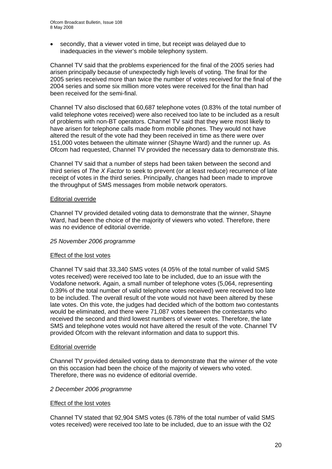• secondly, that a viewer voted in time, but receipt was delayed due to inadequacies in the viewer's mobile telephony system.

Channel TV said that the problems experienced for the final of the 2005 series had arisen principally because of unexpectedly high levels of voting. The final for the 2005 series received more than twice the number of votes received for the final of the 2004 series and some six million more votes were received for the final than had been received for the semi-final.

Channel TV also disclosed that 60,687 telephone votes (0.83% of the total number of valid telephone votes received) were also received too late to be included as a result of problems with non-BT operators. Channel TV said that they were most likely to have arisen for telephone calls made from mobile phones. They would not have altered the result of the vote had they been received in time as there were over 151,000 votes between the ultimate winner (Shayne Ward) and the runner up. As Ofcom had requested, Channel TV provided the necessary data to demonstrate this.

Channel TV said that a number of steps had been taken between the second and third series of *The X Factor* to seek to prevent (or at least reduce) recurrence of late receipt of votes in the third series. Principally, changes had been made to improve the throughput of SMS messages from mobile network operators.

#### Editorial override

Channel TV provided detailed voting data to demonstrate that the winner, Shayne Ward, had been the choice of the majority of viewers who voted. Therefore, there was no evidence of editorial override.

# *25 November 2006 programme*

#### Effect of the lost votes

Channel TV said that 33,340 SMS votes (4.05% of the total number of valid SMS votes received) were received too late to be included, due to an issue with the Vodafone network. Again, a small number of telephone votes (5,064, representing 0.39% of the total number of valid telephone votes received) were received too late to be included. The overall result of the vote would not have been altered by these late votes. On this vote, the judges had decided which of the bottom two contestants would be eliminated, and there were 71,087 votes between the contestants who received the second and third lowest numbers of viewer votes. Therefore, the late SMS and telephone votes would not have altered the result of the vote. Channel TV provided Ofcom with the relevant information and data to support this.

#### Editorial override

Channel TV provided detailed voting data to demonstrate that the winner of the vote on this occasion had been the choice of the majority of viewers who voted. Therefore, there was no evidence of editorial override.

#### *2 December 2006 programme*

# Effect of the lost votes

Channel TV stated that 92,904 SMS votes (6.78% of the total number of valid SMS votes received) were received too late to be included, due to an issue with the O2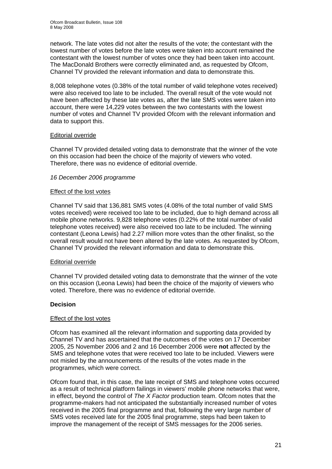network. The late votes did not alter the results of the vote; the contestant with the lowest number of votes before the late votes were taken into account remained the contestant with the lowest number of votes once they had been taken into account. The MacDonald Brothers were correctly eliminated and, as requested by Ofcom, Channel TV provided the relevant information and data to demonstrate this.

8,008 telephone votes (0.38% of the total number of valid telephone votes received) were also received too late to be included. The overall result of the vote would not have been affected by these late votes as, after the late SMS votes were taken into account, there were 14,229 votes between the two contestants with the lowest number of votes and Channel TV provided Ofcom with the relevant information and data to support this.

### Editorial override

Channel TV provided detailed voting data to demonstrate that the winner of the vote on this occasion had been the choice of the majority of viewers who voted. Therefore, there was no evidence of editorial override.

### *16 December 2006 programme*

### Effect of the lost votes

Channel TV said that 136,881 SMS votes (4.08% of the total number of valid SMS votes received) were received too late to be included, due to high demand across all mobile phone networks. 9,828 telephone votes (0.22% of the total number of valid telephone votes received) were also received too late to be included. The winning contestant (Leona Lewis) had 2.27 million more votes than the other finalist, so the overall result would not have been altered by the late votes. As requested by Ofcom, Channel TV provided the relevant information and data to demonstrate this.

# Editorial override

Channel TV provided detailed voting data to demonstrate that the winner of the vote on this occasion (Leona Lewis) had been the choice of the majority of viewers who voted. Therefore, there was no evidence of editorial override.

# **Decision**

#### Effect of the lost votes

Ofcom has examined all the relevant information and supporting data provided by Channel TV and has ascertained that the outcomes of the votes on 17 December 2005, 25 November 2006 and 2 and 16 December 2006 were **not** affected by the SMS and telephone votes that were received too late to be included. Viewers were not misled by the announcements of the results of the votes made in the programmes, which were correct.

Ofcom found that, in this case, the late receipt of SMS and telephone votes occurred as a result of technical platform failings in viewers' mobile phone networks that were, in effect, beyond the control of *The X Factor* production team. Ofcom notes that the programme-makers had not anticipated the substantially increased number of votes received in the 2005 final programme and that, following the very large number of SMS votes received late for the 2005 final programme, steps had been taken to improve the management of the receipt of SMS messages for the 2006 series.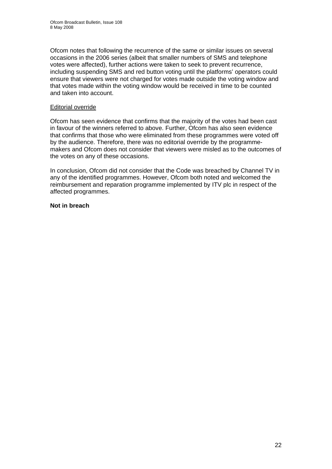Ofcom notes that following the recurrence of the same or similar issues on several occasions in the 2006 series (albeit that smaller numbers of SMS and telephone votes were affected), further actions were taken to seek to prevent recurrence, including suspending SMS and red button voting until the platforms' operators could ensure that viewers were not charged for votes made outside the voting window and that votes made within the voting window would be received in time to be counted and taken into account.

# Editorial override

Ofcom has seen evidence that confirms that the majority of the votes had been cast in favour of the winners referred to above. Further, Ofcom has also seen evidence that confirms that those who were eliminated from these programmes were voted off by the audience. Therefore, there was no editorial override by the programmemakers and Ofcom does not consider that viewers were misled as to the outcomes of the votes on any of these occasions.

In conclusion, Ofcom did not consider that the Code was breached by Channel TV in any of the identified programmes. However, Ofcom both noted and welcomed the reimbursement and reparation programme implemented by ITV plc in respect of the affected programmes.

# **Not in breach**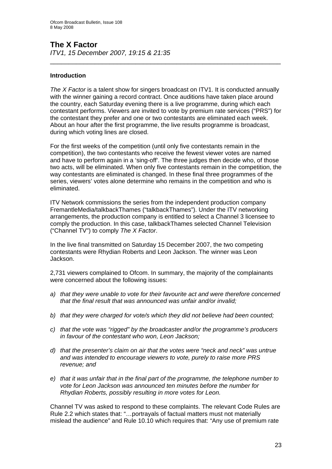# **The X Factor**

*ITV1, 15 December 2007, 19:15 & 21:35* 

# **Introduction**

*The X Factor* is a talent show for singers broadcast on ITV1. It is conducted annually with the winner gaining a record contract. Once auditions have taken place around the country, each Saturday evening there is a live programme, during which each contestant performs. Viewers are invited to vote by premium rate services ("PRS") for the contestant they prefer and one or two contestants are eliminated each week. About an hour after the first programme, the live results programme is broadcast, during which voting lines are closed.

\_\_\_\_\_\_\_\_\_\_\_\_\_\_\_\_\_\_\_\_\_\_\_\_\_\_\_\_\_\_\_\_\_\_\_\_\_\_\_\_\_\_\_\_\_\_\_\_\_\_\_\_\_\_\_\_\_\_\_\_\_\_

For the first weeks of the competition (until only five contestants remain in the competition), the two contestants who receive the fewest viewer votes are named and have to perform again in a 'sing-off'. The three judges then decide who, of those two acts, will be eliminated. When only five contestants remain in the competition, the way contestants are eliminated is changed. In these final three programmes of the series, viewers' votes alone determine who remains in the competition and who is eliminated.

ITV Network commissions the series from the independent production company FremantleMedia/talkbackThames ("talkbackThames"). Under the ITV networking arrangements, the production company is entitled to select a Channel 3 licensee to comply the production. In this case, talkbackThames selected Channel Television ("Channel TV") to comply *The X Factor*.

In the live final transmitted on Saturday 15 December 2007, the two competing contestants were Rhydian Roberts and Leon Jackson. The winner was Leon Jackson.

2,731 viewers complained to Ofcom. In summary, the majority of the complainants were concerned about the following issues:

- *a) that they were unable to vote for their favourite act and were therefore concerned that the final result that was announced was unfair and/or invalid;*
- *b) that they were charged for vote/s which they did not believe had been counted;*
- *c) that the vote was "rigged" by the broadcaster and/or the programme's producers in favour of the contestant who won, Leon Jackson;*
- *d) that the presenter's claim on air that the votes were "neck and neck" was untrue and was intended to encourage viewers to vote, purely to raise more PRS revenue; and*
- *e) that it was unfair that in the final part of the programme, the telephone number to vote for Leon Jackson was announced ten minutes before the number for Rhydian Roberts, possibly resulting in more votes for Leon.*

Channel TV was asked to respond to these complaints. The relevant Code Rules are Rule 2.2 which states that: "…portrayals of factual matters must not materially mislead the audience" and Rule 10.10 which requires that: "Any use of premium rate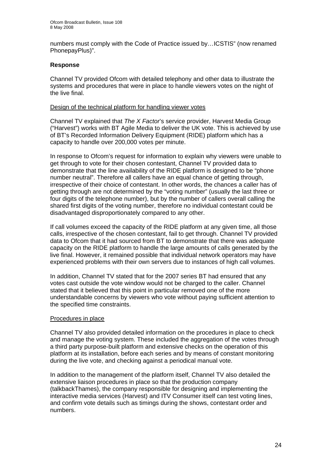numbers must comply with the Code of Practice issued by…ICSTIS" (now renamed PhonepayPlus)".

## **Response**

Channel TV provided Ofcom with detailed telephony and other data to illustrate the systems and procedures that were in place to handle viewers votes on the night of the live final.

## Design of the technical platform for handling viewer votes

Channel TV explained that *The X Factor*'s service provider, Harvest Media Group ("Harvest") works with BT Agile Media to deliver the UK vote. This is achieved by use of BT's Recorded Information Delivery Equipment (RIDE) platform which has a capacity to handle over 200,000 votes per minute.

In response to Ofcom's request for information to explain why viewers were unable to get through to vote for their chosen contestant, Channel TV provided data to demonstrate that the line availability of the RIDE platform is designed to be "phone number neutral". Therefore all callers have an equal chance of getting through, irrespective of their choice of contestant. In other words, the chances a caller has of getting through are not determined by the "voting number" (usually the last three or four digits of the telephone number), but by the number of callers overall calling the shared first digits of the voting number, therefore no individual contestant could be disadvantaged disproportionately compared to any other.

If call volumes exceed the capacity of the RIDE platform at any given time, all those calls, irrespective of the chosen contestant, fail to get through. Channel TV provided data to Ofcom that it had sourced from BT to demonstrate that there was adequate capacity on the RIDE platform to handle the large amounts of calls generated by the live final. However, it remained possible that individual network operators may have experienced problems with their own servers due to instances of high call volumes.

In addition, Channel TV stated that for the 2007 series BT had ensured that any votes cast outside the vote window would not be charged to the caller. Channel stated that it believed that this point in particular removed one of the more understandable concerns by viewers who vote without paying sufficient attention to the specified time constraints.

# Procedures in place

Channel TV also provided detailed information on the procedures in place to check and manage the voting system. These included the aggregation of the votes through a third party purpose-built platform and extensive checks on the operation of this platform at its installation, before each series and by means of constant monitoring during the live vote, and checking against a periodical manual vote.

In addition to the management of the platform itself, Channel TV also detailed the extensive liaison procedures in place so that the production company (talkbackThames), the company responsible for designing and implementing the interactive media services (Harvest) and ITV Consumer itself can test voting lines, and confirm vote details such as timings during the shows, contestant order and numbers.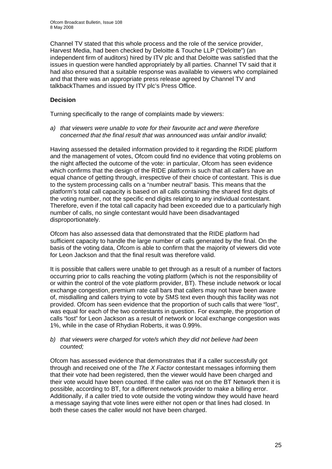Channel TV stated that this whole process and the role of the service provider, Harvest Media, had been checked by Deloitte & Touche LLP ("Deloitte") (an independent firm of auditors) hired by ITV plc and that Deloitte was satisfied that the issues in question were handled appropriately by all parties. Channel TV said that it had also ensured that a suitable response was available to viewers who complained and that there was an appropriate press release agreed by Channel TV and talkbackThames and issued by ITV plc's Press Office.

# **Decision**

Turning specifically to the range of complaints made by viewers:

*a) that viewers were unable to vote for their favourite act and were therefore concerned that the final result that was announced was unfair and/or invalid;* 

Having assessed the detailed information provided to it regarding the RIDE platform and the management of votes, Ofcom could find no evidence that voting problems on the night affected the outcome of the vote: in particular, Ofcom has seen evidence which confirms that the design of the RIDE platform is such that all callers have an equal chance of getting through, irrespective of their choice of contestant. This is due to the system processing calls on a "number neutral" basis. This means that the platform's total call capacity is based on all calls containing the shared first digits of the voting number, not the specific end digits relating to any individual contestant. Therefore, even if the total call capacity had been exceeded due to a particularly high number of calls, no single contestant would have been disadvantaged disproportionately.

Ofcom has also assessed data that demonstrated that the RIDE platform had sufficient capacity to handle the large number of calls generated by the final. On the basis of the voting data, Ofcom is able to confirm that the majority of viewers did vote for Leon Jackson and that the final result was therefore valid.

It is possible that callers were unable to get through as a result of a number of factors occurring prior to calls reaching the voting platform (which is not the responsibility of or within the control of the vote platform provider, BT). These include network or local exchange congestion, premium rate call bars that callers may not have been aware of, misdialling and callers trying to vote by SMS text even though this facility was not provided. Ofcom has seen evidence that the proportion of such calls that were "lost", was equal for each of the two contestants in question. For example, the proportion of calls "lost" for Leon Jackson as a result of network or local exchange congestion was 1%, while in the case of Rhydian Roberts, it was 0.99%.

### *b) that viewers were charged for vote/s which they did not believe had been counted;*

Ofcom has assessed evidence that demonstrates that if a caller successfully got through and received one of the *The X Factor* contestant messages informing them that their vote had been registered, then the viewer would have been charged and their vote would have been counted. If the caller was not on the BT Network then it is possible, according to BT, for a different network provider to make a billing error. Additionally, if a caller tried to vote outside the voting window they would have heard a message saying that vote lines were either not open or that lines had closed. In both these cases the caller would not have been charged.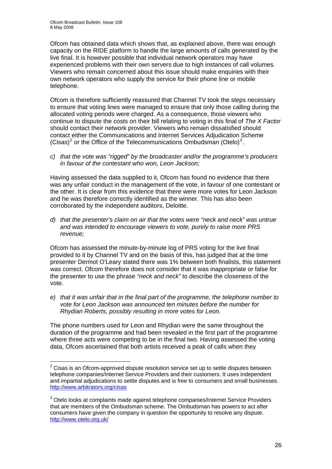Ofcom has obtained data which shows that, as explained above, there was enough capacity on the RIDE platform to handle the large amounts of calls generated by the live final. It is however possible that individual network operators may have experienced problems with their own servers due to high instances of call volumes. Viewers who remain concerned about this issue should make enquiries with their own network operators who supply the service for their phone line or mobile telephone.

Ofcom is therefore sufficiently reassured that Channel TV took the steps necessary to ensure that voting lines were managed to ensure that only those calling during the allocated voting periods were charged. As a consequence, those viewers who continue to dispute the costs on their bill relating to voting in this final of *The X Factor* should contact their network provider. Viewers who remain dissatisfied should contact either the Communications and Internet Services Adjudication Scheme (Cisas)<sup>[2](#page-25-0)</sup> or the Office of the Telecommunications Ombudsman (Otelo)<sup>[3](#page-25-1)</sup>.

*c) that the vote was "rigged" by the broadcaster and/or the programme's producers in favour of the contestant who won, Leon Jackson;* 

Having assessed the data supplied to it, Ofcom has found no evidence that there was any unfair conduct in the management of the vote, in favour of one contestant or the other. It is clear from this evidence that there were more votes for Leon Jackson and he was therefore correctly identified as the winner. This has also been corroborated by the independent auditors, Deloitte.

*d) that the presenter's claim on air that the votes were "neck and neck" was untrue and was intended to encourage viewers to vote, purely to raise more PRS revenue;* 

Ofcom has assessed the minute-by-minute log of PRS voting for the live final provided to it by Channel TV and on the basis of this, has judged that at the time presenter Dermot O'Leary stated there was 1% between both finalists, this statement was correct. Ofcom therefore does not consider that it was inappropriate or false for the presenter to use the phrase *"neck and neck"* to describe the closeness of the vote.

*e) that it was unfair that in the final part of the programme, the telephone number to vote for Leon Jackson was announced ten minutes before the number for Rhydian Roberts, possibly resulting in more votes for Leon.* 

The phone numbers used for Leon and Rhydian were the same throughout the duration of the programme and had been revealed in the first part of the programme where three acts were competing to be in the final two. Having assessed the voting data, Ofcom ascertained that both artists received a peak of calls when they

<span id="page-25-0"></span> 2 Cisas is an Ofcom-approved dispute resolution service set up to settle disputes between telephone companies/Internet Service Providers and their customers. It uses independent and impartial adjudications to settle disputes and is free to consumers and small businesses. <http://www.arbitrators.org/cisas>

<span id="page-25-1"></span><sup>&</sup>lt;sup>3</sup> Otelo looks at complaints made against telephone companies/Internet Service Providers that are members of the Ombudsman scheme. The Ombudsman has powers to act after consumers have given the company in question the opportunity to resolve any dispute. <http://www.otelo.org.uk/>